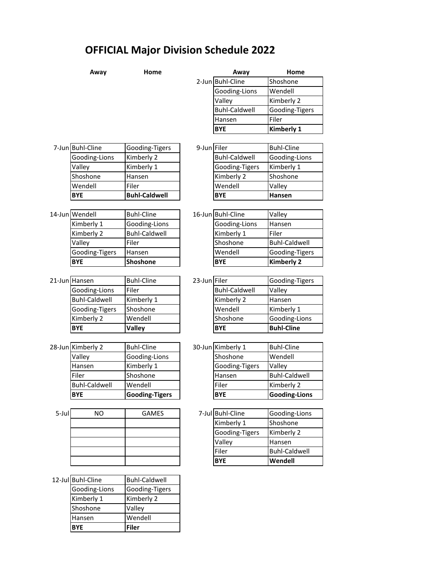## **OFFICIAL Major Division Schedule 2022**

|       | Away                 | Home                  |              | Away                 | Home                 |  |
|-------|----------------------|-----------------------|--------------|----------------------|----------------------|--|
|       |                      |                       |              | 2-Jun Buhl-Cline     | Shoshone             |  |
|       |                      |                       |              | Gooding-Lions        | Wendell              |  |
|       |                      |                       |              | Valley               | Kimberly 2           |  |
|       |                      |                       |              | <b>Buhl-Caldwell</b> | Gooding-Tigers       |  |
|       |                      |                       |              | Hansen               | Filer                |  |
|       |                      |                       |              | <b>BYE</b>           | Kimberly 1           |  |
|       |                      |                       |              |                      |                      |  |
|       | 7-Jun Buhl-Cline     | Gooding-Tigers        | 9-Jun Filer  |                      | <b>Buhl-Cline</b>    |  |
|       | Gooding-Lions        | Kimberly 2            |              | <b>Buhl-Caldwell</b> | Gooding-Lions        |  |
|       | Valley               | Kimberly 1            |              | Gooding-Tigers       | Kimberly 1           |  |
|       | Shoshone             | Hansen                |              | Kimberly 2           | Shoshone             |  |
|       | Wendell              | Filer                 |              | Wendell              | Valley               |  |
|       | <b>BYE</b>           | <b>Buhl-Caldwell</b>  |              | <b>BYE</b>           | Hansen               |  |
|       |                      |                       |              |                      |                      |  |
|       | 14-Jun Wendell       | <b>Buhl-Cline</b>     |              | 16-Jun Buhl-Cline    | Valley               |  |
|       | Kimberly 1           | Gooding-Lions         |              | Gooding-Lions        | Hansen               |  |
|       | Kimberly 2           | <b>Buhl-Caldwell</b>  |              | Kimberly 1           | Filer                |  |
|       | Valley               | Filer                 |              | Shoshone             | <b>Buhl-Caldwell</b> |  |
|       | Gooding-Tigers       | Hansen                |              | Wendell              | Gooding-Tigers       |  |
|       | <b>BYE</b>           | Shoshone              |              | <b>BYE</b>           | <b>Kimberly 2</b>    |  |
|       |                      |                       |              |                      |                      |  |
|       | 21-Jun Hansen        | <b>Buhl-Cline</b>     | 23-Jun Filer |                      | Gooding-Tigers       |  |
|       | Gooding-Lions        | Filer                 |              | <b>Buhl-Caldwell</b> | Valley               |  |
|       | <b>Buhl-Caldwell</b> | Kimberly 1            |              | Kimberly 2           | Hansen               |  |
|       | Gooding-Tigers       | Shoshone              |              | Wendell              | Kimberly 1           |  |
|       | Kimberly 2           | Wendell               |              | Shoshone             | Gooding-Lions        |  |
|       | <b>BYE</b>           | <b>Valley</b>         |              | <b>BYE</b>           | <b>Buhl-Cline</b>    |  |
|       |                      |                       |              |                      |                      |  |
|       | 28-Jun Kimberly 2    | <b>Buhl-Cline</b>     |              | 30-Jun Kimberly 1    | <b>Buhl-Cline</b>    |  |
|       | Valley               | Gooding-Lions         |              | Shoshone             | Wendell              |  |
|       | Hansen               | Kimberly 1            |              | Gooding-Tigers       | Valley               |  |
|       | Filer                | Shoshone              |              | Hansen               | <b>Buhl-Caldwell</b> |  |
|       | <b>Buhl-Caldwell</b> | Wendell               |              | Filer                | Kimberly 2           |  |
|       | <b>BYE</b>           | <b>Gooding-Tigers</b> |              | <b>BYE</b>           | <b>Gooding-Lions</b> |  |
|       |                      |                       |              |                      |                      |  |
| 5-Jul | <b>NO</b>            | <b>GAMES</b>          |              | 7-Jul Buhl-Cline     | Gooding-Lions        |  |
|       |                      |                       |              | Kimberly 1           | Shoshone             |  |
|       |                      |                       |              | Gooding-Tigers       | Kimberly 2           |  |
|       |                      |                       |              | Valley               | Hansen               |  |
|       |                      |                       |              | Filer                | <b>Buhl-Caldwell</b> |  |
|       |                      |                       |              | <b>BYE</b>           | Wendell              |  |
|       |                      |                       |              |                      |                      |  |
|       | 12-Jul Buhl-Cline    | <b>Buhl-Caldwell</b>  |              |                      |                      |  |
|       | Gooding-Lions        | Gooding-Tigers        |              |                      |                      |  |
|       | Kimberly 1           | Kimberly 2            |              |                      |                      |  |
|       | Shoshone             | Valley                |              |                      |                      |  |
|       | Hansen               | Wendell               |              |                      |                      |  |
|       | <b>BYE</b>           | <b>Filer</b>          |              |                      |                      |  |

**Filer**